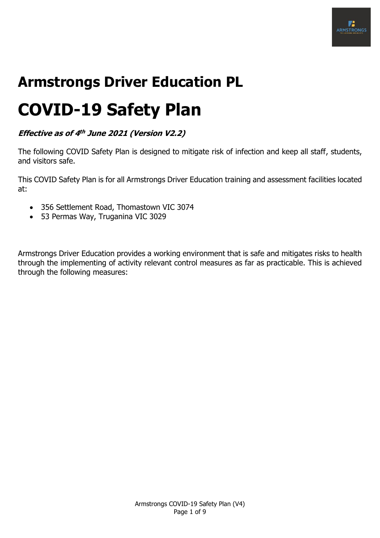

# **Armstrongs Driver Education PL**

# **COVID-19 Safety Plan**

**Effective as of 4 th June 2021 (Version V2.2)**

The following COVID Safety Plan is designed to mitigate risk of infection and keep all staff, students, and visitors safe.

This COVID Safety Plan is for all Armstrongs Driver Education training and assessment facilities located at:

- 356 Settlement Road, Thomastown VIC 3074
- 53 Permas Way, Truganina VIC 3029

Armstrongs Driver Education provides a working environment that is safe and mitigates risks to health through the implementing of activity relevant control measures as far as practicable. This is achieved through the following measures: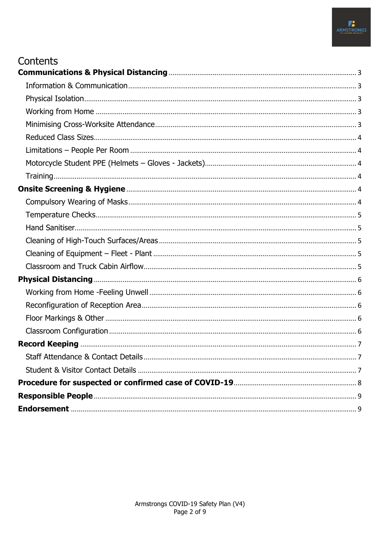#### Contents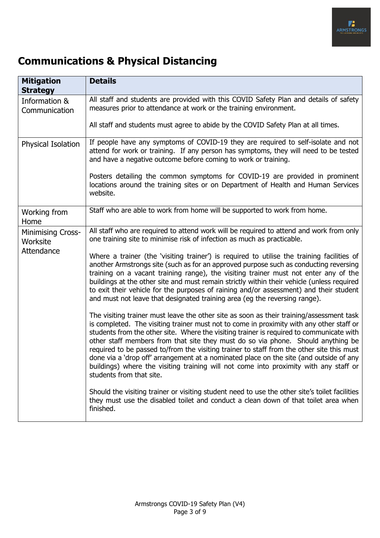

### <span id="page-2-0"></span>**Communications & Physical Distancing**

<span id="page-2-4"></span><span id="page-2-3"></span><span id="page-2-2"></span><span id="page-2-1"></span>

| <b>Mitigation</b><br><b>Strategy</b> | <b>Details</b>                                                                                                                                                                                                                                                                                                                                                                                                                                                                                                                                                                                                                                                                   |  |
|--------------------------------------|----------------------------------------------------------------------------------------------------------------------------------------------------------------------------------------------------------------------------------------------------------------------------------------------------------------------------------------------------------------------------------------------------------------------------------------------------------------------------------------------------------------------------------------------------------------------------------------------------------------------------------------------------------------------------------|--|
| Information &<br>Communication       | All staff and students are provided with this COVID Safety Plan and details of safety<br>measures prior to attendance at work or the training environment.                                                                                                                                                                                                                                                                                                                                                                                                                                                                                                                       |  |
|                                      | All staff and students must agree to abide by the COVID Safety Plan at all times.                                                                                                                                                                                                                                                                                                                                                                                                                                                                                                                                                                                                |  |
| <b>Physical Isolation</b>            | If people have any symptoms of COVID-19 they are required to self-isolate and not<br>attend for work or training. If any person has symptoms, they will need to be tested<br>and have a negative outcome before coming to work or training.                                                                                                                                                                                                                                                                                                                                                                                                                                      |  |
|                                      | Posters detailing the common symptoms for COVID-19 are provided in prominent<br>locations around the training sites or on Department of Health and Human Services<br>website.                                                                                                                                                                                                                                                                                                                                                                                                                                                                                                    |  |
| Working from<br>Home                 | Staff who are able to work from home will be supported to work from home.                                                                                                                                                                                                                                                                                                                                                                                                                                                                                                                                                                                                        |  |
| <b>Minimising Cross-</b><br>Worksite | All staff who are required to attend work will be required to attend and work from only<br>one training site to minimise risk of infection as much as practicable.                                                                                                                                                                                                                                                                                                                                                                                                                                                                                                               |  |
| Attendance                           | Where a trainer (the 'visiting trainer') is required to utilise the training facilities of<br>another Armstrongs site (such as for an approved purpose such as conducting reversing<br>training on a vacant training range), the visiting trainer must not enter any of the<br>buildings at the other site and must remain strictly within their vehicle (unless required<br>to exit their vehicle for the purposes of raining and/or assessment) and their student<br>and must not leave that designated training area (eg the reversing range).                                                                                                                                |  |
|                                      | The visiting trainer must leave the other site as soon as their training/assessment task<br>is completed. The visiting trainer must not to come in proximity with any other staff or<br>students from the other site. Where the visiting trainer is required to communicate with<br>other staff members from that site they must do so via phone. Should anything be<br>required to be passed to/from the visiting trainer to staff from the other site this must<br>done via a 'drop off' arrangement at a nominated place on the site (and outside of any<br>buildings) where the visiting training will not come into proximity with any staff or<br>students from that site. |  |
|                                      | Should the visiting trainer or visiting student need to use the other site's toilet facilities<br>they must use the disabled toilet and conduct a clean down of that toilet area when<br>finished.                                                                                                                                                                                                                                                                                                                                                                                                                                                                               |  |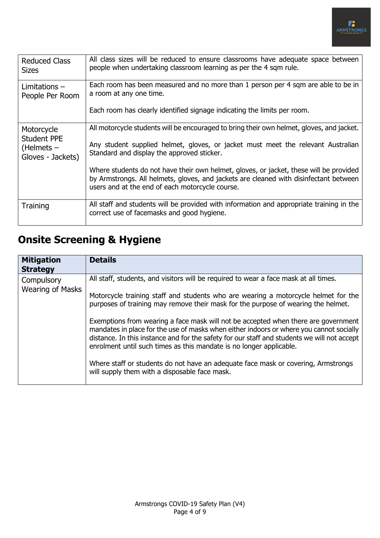<span id="page-3-2"></span><span id="page-3-1"></span><span id="page-3-0"></span>

| <b>Reduced Class</b><br><b>Sizes</b>                     | All class sizes will be reduced to ensure classrooms have adequate space between<br>people when undertaking classroom learning as per the 4 sqm rule.                                                                              |  |
|----------------------------------------------------------|------------------------------------------------------------------------------------------------------------------------------------------------------------------------------------------------------------------------------------|--|
| Limitations $-$<br>People Per Room                       | Each room has been measured and no more than 1 person per 4 sqm are able to be in<br>a room at any one time.                                                                                                                       |  |
|                                                          | Each room has clearly identified signage indicating the limits per room.                                                                                                                                                           |  |
| Motorcycle                                               | All motorcycle students will be encouraged to bring their own helmet, gloves, and jacket.                                                                                                                                          |  |
| <b>Student PPE</b><br>$(He$ Imets –<br>Gloves - Jackets) | Any student supplied helmet, gloves, or jacket must meet the relevant Australian<br>Standard and display the approved sticker.                                                                                                     |  |
|                                                          | Where students do not have their own helmet, gloves, or jacket, these will be provided<br>by Armstrongs. All helmets, gloves, and jackets are cleaned with disinfectant between<br>users and at the end of each motorcycle course. |  |
| Training                                                 | All staff and students will be provided with information and appropriate training in the                                                                                                                                           |  |
|                                                          | correct use of facemasks and good hygiene.                                                                                                                                                                                         |  |

## <span id="page-3-4"></span><span id="page-3-3"></span>**Onsite Screening & Hygiene**

<span id="page-3-5"></span>

| <b>Mitigation</b><br><b>Strategy</b>  | <b>Details</b>                                                                                                                                                                                                                                                                                                                                                                                                                                                                                                                                                                                                                                                                                                                                               |
|---------------------------------------|--------------------------------------------------------------------------------------------------------------------------------------------------------------------------------------------------------------------------------------------------------------------------------------------------------------------------------------------------------------------------------------------------------------------------------------------------------------------------------------------------------------------------------------------------------------------------------------------------------------------------------------------------------------------------------------------------------------------------------------------------------------|
| Compulsory<br><b>Wearing of Masks</b> | All staff, students, and visitors will be required to wear a face mask at all times.<br>Motorcycle training staff and students who are wearing a motorcycle helmet for the<br>purposes of training may remove their mask for the purpose of wearing the helmet.<br>Exemptions from wearing a face mask will not be accepted when there are government<br>mandates in place for the use of masks when either indoors or where you cannot socially<br>distance. In this instance and for the safety for our staff and students we will not accept<br>enrolment until such times as this mandate is no longer applicable.<br>Where staff or students do not have an adequate face mask or covering, Armstrongs<br>will supply them with a disposable face mask. |
|                                       |                                                                                                                                                                                                                                                                                                                                                                                                                                                                                                                                                                                                                                                                                                                                                              |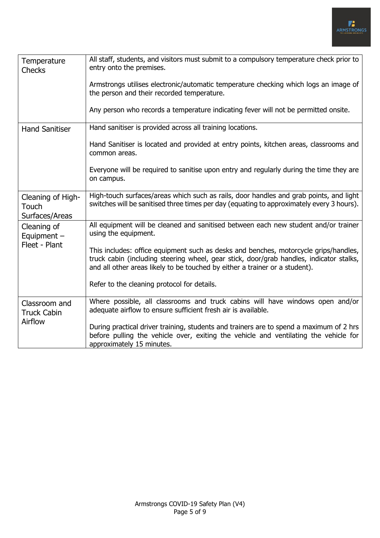<span id="page-4-4"></span><span id="page-4-3"></span><span id="page-4-2"></span><span id="page-4-1"></span><span id="page-4-0"></span>

| Temperature<br><b>Checks</b>                 | All staff, students, and visitors must submit to a compulsory temperature check prior to<br>entry onto the premises.                                                                                                                                           |
|----------------------------------------------|----------------------------------------------------------------------------------------------------------------------------------------------------------------------------------------------------------------------------------------------------------------|
|                                              | Armstrongs utilises electronic/automatic temperature checking which logs an image of<br>the person and their recorded temperature.                                                                                                                             |
|                                              | Any person who records a temperature indicating fever will not be permitted onsite.                                                                                                                                                                            |
| <b>Hand Sanitiser</b>                        | Hand sanitiser is provided across all training locations.                                                                                                                                                                                                      |
|                                              | Hand Sanitiser is located and provided at entry points, kitchen areas, classrooms and<br>common areas.                                                                                                                                                         |
|                                              | Everyone will be required to sanitise upon entry and regularly during the time they are<br>on campus.                                                                                                                                                          |
| Cleaning of High-<br>Touch<br>Surfaces/Areas | High-touch surfaces/areas which such as rails, door handles and grab points, and light<br>switches will be sanitised three times per day (equating to approximately every 3 hours).                                                                            |
| Cleaning of<br>Equipment $-$                 | All equipment will be cleaned and sanitised between each new student and/or trainer<br>using the equipment.                                                                                                                                                    |
| Fleet - Plant                                | This includes: office equipment such as desks and benches, motorcycle grips/handles,<br>truck cabin (including steering wheel, gear stick, door/grab handles, indicator stalks,<br>and all other areas likely to be touched by either a trainer or a student). |
|                                              | Refer to the cleaning protocol for details.                                                                                                                                                                                                                    |
| Classroom and<br><b>Truck Cabin</b>          | Where possible, all classrooms and truck cabins will have windows open and/or<br>adequate airflow to ensure sufficient fresh air is available.                                                                                                                 |
| Airflow                                      | During practical driver training, students and trainers are to spend a maximum of 2 hrs<br>before pulling the vehicle over, exiting the vehicle and ventilating the vehicle for<br>approximately 15 minutes.                                                   |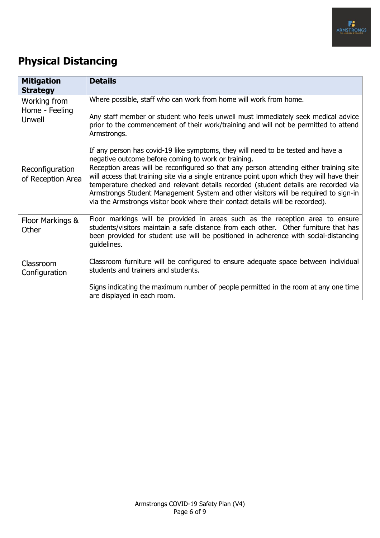

## <span id="page-5-0"></span>**Physical Distancing**

<span id="page-5-4"></span><span id="page-5-3"></span><span id="page-5-2"></span><span id="page-5-1"></span>

| <b>Mitigation</b><br><b>Strategy</b>     | <b>Details</b>                                                                                                                                                                                                                                                                                                                                                                                                                                       |
|------------------------------------------|------------------------------------------------------------------------------------------------------------------------------------------------------------------------------------------------------------------------------------------------------------------------------------------------------------------------------------------------------------------------------------------------------------------------------------------------------|
| Working from<br>Home - Feeling<br>Unwell | Where possible, staff who can work from home will work from home.<br>Any staff member or student who feels unwell must immediately seek medical advice<br>prior to the commencement of their work/training and will not be permitted to attend<br>Armstrongs.                                                                                                                                                                                        |
|                                          | If any person has covid-19 like symptoms, they will need to be tested and have a<br>negative outcome before coming to work or training.                                                                                                                                                                                                                                                                                                              |
| Reconfiguration<br>of Reception Area     | Reception areas will be reconfigured so that any person attending either training site<br>will access that training site via a single entrance point upon which they will have their<br>temperature checked and relevant details recorded (student details are recorded via<br>Armstrongs Student Management System and other visitors will be required to sign-in<br>via the Armstrongs visitor book where their contact details will be recorded). |
| Floor Markings &<br>Other                | Floor markings will be provided in areas such as the reception area to ensure<br>students/visitors maintain a safe distance from each other. Other furniture that has<br>been provided for student use will be positioned in adherence with social-distancing<br>guidelines.                                                                                                                                                                         |
| Classroom<br>Configuration               | Classroom furniture will be configured to ensure adequate space between individual<br>students and trainers and students.                                                                                                                                                                                                                                                                                                                            |
|                                          | Signs indicating the maximum number of people permitted in the room at any one time<br>are displayed in each room.                                                                                                                                                                                                                                                                                                                                   |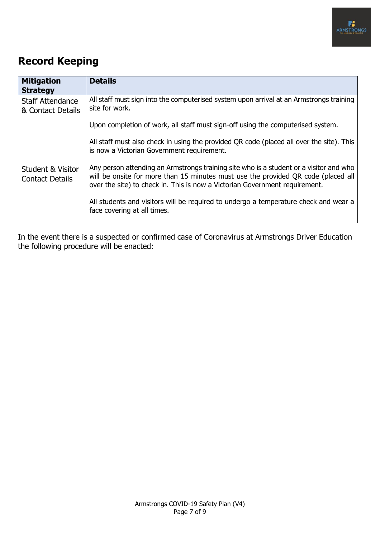

#### <span id="page-6-0"></span>**Record Keeping**

<span id="page-6-1"></span>

| <b>Mitigation</b><br><b>Strategy</b>                   | <b>Details</b>                                                                                                                                                                                                                                             |  |
|--------------------------------------------------------|------------------------------------------------------------------------------------------------------------------------------------------------------------------------------------------------------------------------------------------------------------|--|
| <b>Staff Attendance</b><br>& Contact Details           | All staff must sign into the computerised system upon arrival at an Armstrongs training<br>site for work.                                                                                                                                                  |  |
|                                                        | Upon completion of work, all staff must sign-off using the computerised system.                                                                                                                                                                            |  |
|                                                        | All staff must also check in using the provided QR code (placed all over the site). This<br>is now a Victorian Government requirement.                                                                                                                     |  |
| <b>Student &amp; Visitor</b><br><b>Contact Details</b> | Any person attending an Armstrongs training site who is a student or a visitor and who<br>will be onsite for more than 15 minutes must use the provided QR code (placed all<br>over the site) to check in. This is now a Victorian Government requirement. |  |
|                                                        | All students and visitors will be required to undergo a temperature check and wear a<br>face covering at all times.                                                                                                                                        |  |

<span id="page-6-2"></span>In the event there is a suspected or confirmed case of Coronavirus at Armstrongs Driver Education the following procedure will be enacted: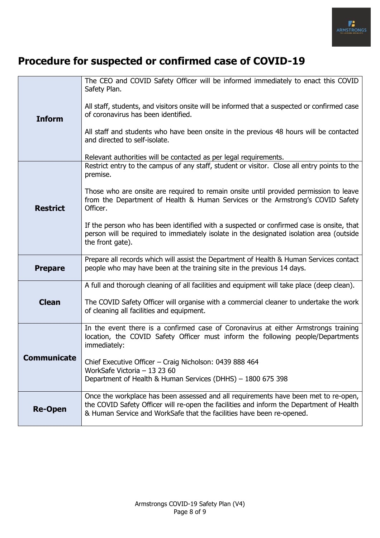

### <span id="page-7-0"></span>**Procedure for suspected or confirmed case of COVID-19**

|                    | The CEO and COVID Safety Officer will be informed immediately to enact this COVID<br>Safety Plan.                                                                                                                                                        |  |
|--------------------|----------------------------------------------------------------------------------------------------------------------------------------------------------------------------------------------------------------------------------------------------------|--|
| <b>Inform</b>      | All staff, students, and visitors onsite will be informed that a suspected or confirmed case<br>of coronavirus has been identified.                                                                                                                      |  |
|                    | All staff and students who have been onsite in the previous 48 hours will be contacted<br>and directed to self-isolate.                                                                                                                                  |  |
|                    | Relevant authorities will be contacted as per legal requirements.                                                                                                                                                                                        |  |
|                    | Restrict entry to the campus of any staff, student or visitor. Close all entry points to the<br>premise.                                                                                                                                                 |  |
| <b>Restrict</b>    | Those who are onsite are required to remain onsite until provided permission to leave<br>from the Department of Health & Human Services or the Armstrong's COVID Safety<br>Officer.                                                                      |  |
|                    | If the person who has been identified with a suspected or confirmed case is onsite, that<br>person will be required to immediately isolate in the designated isolation area (outside<br>the front gate).                                                 |  |
| <b>Prepare</b>     | Prepare all records which will assist the Department of Health & Human Services contact<br>people who may have been at the training site in the previous 14 days.                                                                                        |  |
|                    | A full and thorough cleaning of all facilities and equipment will take place (deep clean).                                                                                                                                                               |  |
| <b>Clean</b>       | The COVID Safety Officer will organise with a commercial cleaner to undertake the work<br>of cleaning all facilities and equipment.                                                                                                                      |  |
|                    | In the event there is a confirmed case of Coronavirus at either Armstrongs training<br>location, the COVID Safety Officer must inform the following people/Departments<br>immediately:                                                                   |  |
| <b>Communicate</b> | Chief Executive Officer - Craig Nicholson: 0439 888 464<br>WorkSafe Victoria - 13 23 60<br>Department of Health & Human Services (DHHS) - 1800 675 398                                                                                                   |  |
| <b>Re-Open</b>     | Once the workplace has been assessed and all requirements have been met to re-open,<br>the COVID Safety Officer will re-open the facilities and inform the Department of Health<br>& Human Service and WorkSafe that the facilities have been re-opened. |  |